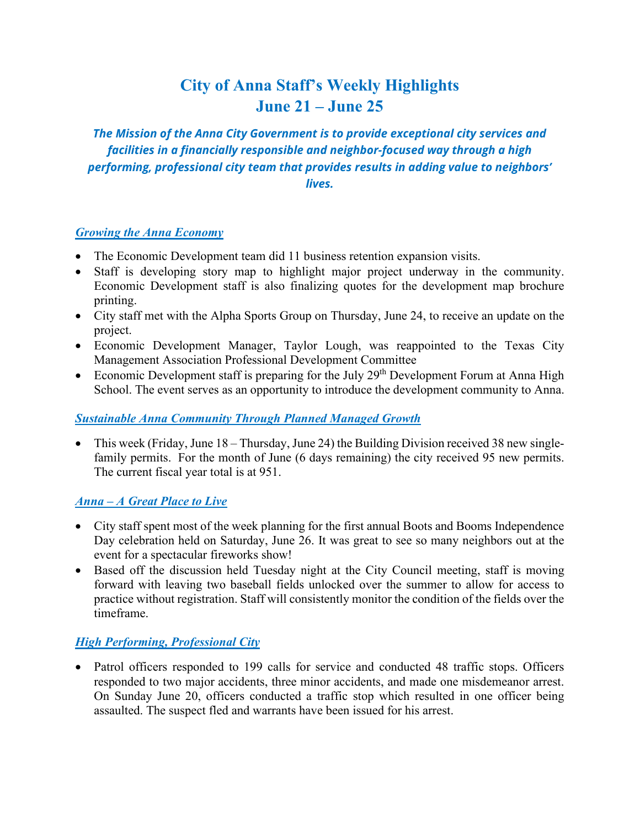# **City of Anna Staff's Weekly Highlights June 21 – June 25**

*The Mission of the Anna City Government is to provide exceptional city services and facilities in a financially responsible and neighbor-focused way through a high performing, professional city team that provides results in adding value to neighbors' lives.*

### *Growing the Anna Economy*

- The Economic Development team did 11 business retention expansion visits.
- Staff is developing story map to highlight major project underway in the community. Economic Development staff is also finalizing quotes for the development map brochure printing.
- City staff met with the Alpha Sports Group on Thursday, June 24, to receive an update on the project.
- Economic Development Manager, Taylor Lough, was reappointed to the Texas City Management Association Professional Development Committee
- Economic Development staff is preparing for the July  $29<sup>th</sup>$  Development Forum at Anna High School. The event serves as an opportunity to introduce the development community to Anna.

### *Sustainable Anna Community Through Planned Managed Growth*

• This week (Friday, June 18 – Thursday, June 24) the Building Division received 38 new singlefamily permits. For the month of June (6 days remaining) the city received 95 new permits. The current fiscal year total is at 951.

### *Anna – A Great Place to Live*

- City staff spent most of the week planning for the first annual Boots and Booms Independence Day celebration held on Saturday, June 26. It was great to see so many neighbors out at the event for a spectacular fireworks show!
- Based off the discussion held Tuesday night at the City Council meeting, staff is moving forward with leaving two baseball fields unlocked over the summer to allow for access to practice without registration. Staff will consistently monitor the condition of the fields over the timeframe.

## *High Performing, Professional City*

• Patrol officers responded to 199 calls for service and conducted 48 traffic stops. Officers responded to two major accidents, three minor accidents, and made one misdemeanor arrest. On Sunday June 20, officers conducted a traffic stop which resulted in one officer being assaulted. The suspect fled and warrants have been issued for his arrest.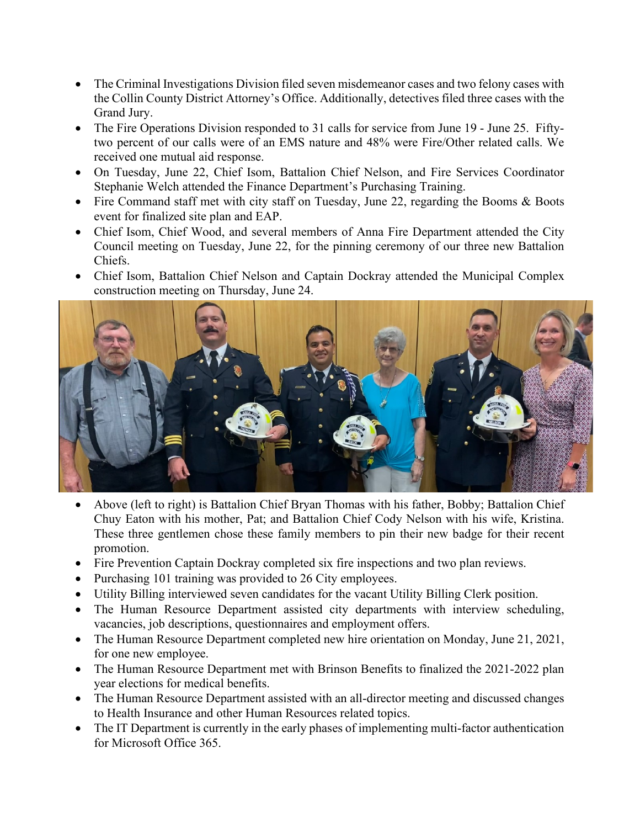- The Criminal Investigations Division filed seven misdemeanor cases and two felony cases with the Collin County District Attorney's Office. Additionally, detectives filed three cases with the Grand Jury.
- The Fire Operations Division responded to 31 calls for service from June 19 June 25. Fiftytwo percent of our calls were of an EMS nature and 48% were Fire/Other related calls. We received one mutual aid response.
- On Tuesday, June 22, Chief Isom, Battalion Chief Nelson, and Fire Services Coordinator Stephanie Welch attended the Finance Department's Purchasing Training.
- Fire Command staff met with city staff on Tuesday, June 22, regarding the Booms & Boots event for finalized site plan and EAP.
- Chief Isom, Chief Wood, and several members of Anna Fire Department attended the City Council meeting on Tuesday, June 22, for the pinning ceremony of our three new Battalion Chiefs.
- Chief Isom, Battalion Chief Nelson and Captain Dockray attended the Municipal Complex construction meeting on Thursday, June 24.



- Above (left to right) is Battalion Chief Bryan Thomas with his father, Bobby; Battalion Chief Chuy Eaton with his mother, Pat; and Battalion Chief Cody Nelson with his wife, Kristina. These three gentlemen chose these family members to pin their new badge for their recent promotion.
- Fire Prevention Captain Dockray completed six fire inspections and two plan reviews.
- Purchasing 101 training was provided to 26 City employees.
- Utility Billing interviewed seven candidates for the vacant Utility Billing Clerk position.
- The Human Resource Department assisted city departments with interview scheduling, vacancies, job descriptions, questionnaires and employment offers.
- The Human Resource Department completed new hire orientation on Monday, June 21, 2021, for one new employee.
- The Human Resource Department met with Brinson Benefits to finalized the 2021-2022 plan year elections for medical benefits.
- The Human Resource Department assisted with an all-director meeting and discussed changes to Health Insurance and other Human Resources related topics.
- The IT Department is currently in the early phases of implementing multi-factor authentication for Microsoft Office 365.